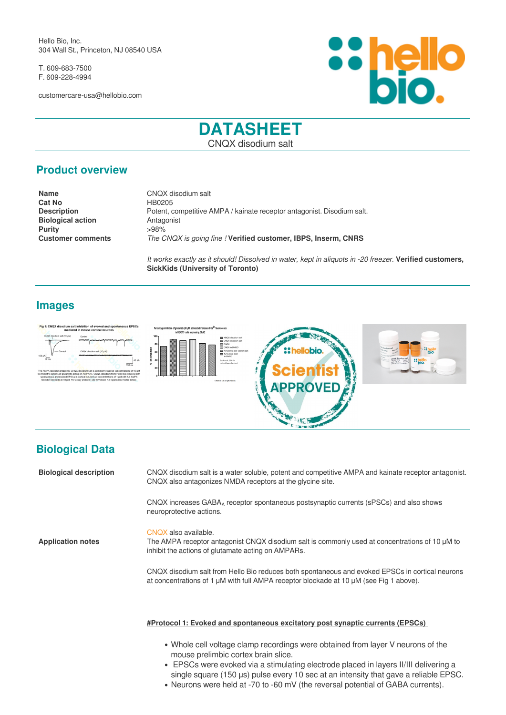Hello Bio, Inc. 304 Wall St., Princeton, NJ 08540 USA

T. 609-683-7500 F. 609-228-4994

customercare-usa@hellobio.com



# **DATASHEET** CNQX disodium salt

## **Product overview**

**Cat No** HB0205 **Biological action**<br> **Purity**  $\begin{array}{r} > 98\% \\ > 98\% \end{array}$ **Purity** 

**Name** CNQX disodium salt **Description** Potent, competitive AMPA / kainate receptor antagonist. Disodium salt. **Customer comments** *The CNQX is going fine !* **Verified customer, IBPS, Inserm, CNRS**

> *It works exactly as it should! Dissolved in water, kept in aliquots in -20 freezer.* **Verified customers, SickKids (University of Toronto)**

## **Images**



# **Biological Data**

| <b>Biological description</b> | CNQX disodium salt is a water soluble, potent and competitive AMPA and kainate receptor antagonist.<br>CNQX also antagonizes NMDA receptors at the glycine site.                          |
|-------------------------------|-------------------------------------------------------------------------------------------------------------------------------------------------------------------------------------------|
|                               | CNQX increases GABA <sub>A</sub> receptor spontaneous postsynaptic currents (sPSCs) and also shows<br>neuroprotective actions.                                                            |
| <b>Application notes</b>      | CNQX also available.<br>The AMPA receptor antagonist CNQX disodium salt is commonly used at concentrations of 10 µM to<br>inhibit the actions of glutamate acting on AMPARs.              |
|                               | CNQX disodium salt from Hello Bio reduces both spontaneous and evoked EPSCs in cortical neurons<br>at concentrations of 1 µM with full AMPA receptor blockade at 10 µM (see Fig 1 above). |
|                               |                                                                                                                                                                                           |

#### **#Protocol 1: Evoked and spontaneous excitatory post synaptic currents (EPSCs)**

- Whole cell voltage clamp recordings were obtained from layer V neurons of the mouse prelimbic cortex brain slice.
- EPSCs were evoked via a stimulating electrode placed in layers II/III delivering a single square (150 µs) pulse every 10 sec at an intensity that gave a reliable EPSC.
- Neurons were held at -70 to -60 mV (the reversal potential of GABA currents).